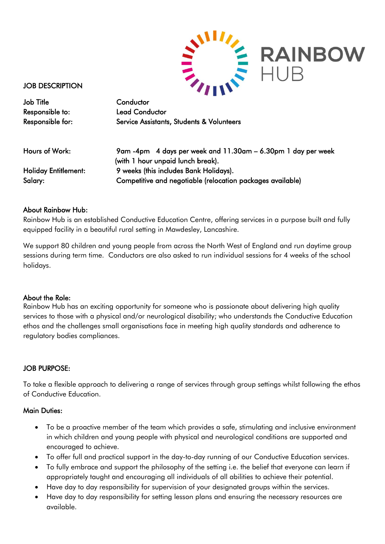

JOB DESCRIPTION

Job Title Conductor Responsible to: Lead Conductor

Responsible for: Service Assistants, Students & Volunteers

Hours of Work: 9am -4pm 4 days per week and 11.30am – 6.30pm 1 day per week (with 1 hour unpaid lunch break). Holiday Entitlement: 9 weeks (this includes Bank Holidays). Salary: Competitive and negotiable (relocation packages available)

## About Rainbow Hub:

Rainbow Hub is an established Conductive Education Centre, offering services in a purpose built and fully equipped facility in a beautiful rural setting in Mawdesley, Lancashire.

We support 80 children and young people from across the North West of England and run daytime group sessions during term time. Conductors are also asked to run individual sessions for 4 weeks of the school holidays.

### About the Role:

Rainbow Hub has an exciting opportunity for someone who is passionate about delivering high quality services to those with a physical and/or neurological disability; who understands the Conductive Education ethos and the challenges small organisations face in meeting high quality standards and adherence to regulatory bodies compliances.

### JOB PURPOSE:

To take a flexible approach to delivering a range of services through group settings whilst following the ethos of Conductive Education.

### Main Duties:

- To be a proactive member of the team which provides a safe, stimulating and inclusive environment in which children and young people with physical and neurological conditions are supported and encouraged to achieve.
- To offer full and practical support in the day-to-day running of our Conductive Education services.
- To fully embrace and support the philosophy of the setting i.e. the belief that everyone can learn if appropriately taught and encouraging all individuals of all abilities to achieve their potential.
- Have day to day responsibility for supervision of your designated groups within the services.
- Have day to day responsibility for setting lesson plans and ensuring the necessary resources are available.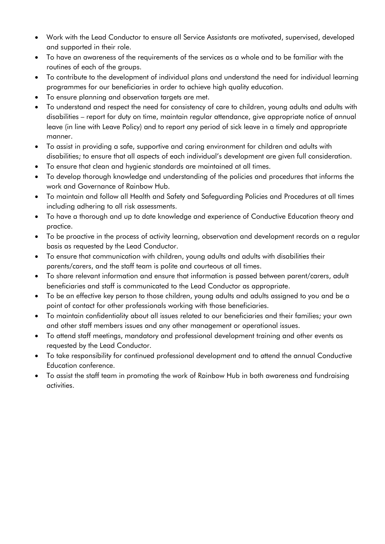- Work with the Lead Conductor to ensure all Service Assistants are motivated, supervised, developed and supported in their role.
- To have an awareness of the requirements of the services as a whole and to be familiar with the routines of each of the groups.
- To contribute to the development of individual plans and understand the need for individual learning programmes for our beneficiaries in order to achieve high quality education.
- To ensure planning and observation targets are met.
- To understand and respect the need for consistency of care to children, young adults and adults with disabilities – report for duty on time, maintain regular attendance, give appropriate notice of annual leave (in line with Leave Policy) and to report any period of sick leave in a timely and appropriate manner.
- To assist in providing a safe, supportive and caring environment for children and adults with disabilities; to ensure that all aspects of each individual's development are given full consideration.
- To ensure that clean and hygienic standards are maintained at all times.
- To develop thorough knowledge and understanding of the policies and procedures that informs the work and Governance of Rainbow Hub.
- To maintain and follow all Health and Safety and Safeguarding Policies and Procedures at all times including adhering to all risk assessments.
- To have a thorough and up to date knowledge and experience of Conductive Education theory and practice.
- To be proactive in the process of activity learning, observation and development records on a regular basis as requested by the Lead Conductor.
- To ensure that communication with children, young adults and adults with disabilities their parents/carers, and the staff team is polite and courteous at all times.
- To share relevant information and ensure that information is passed between parent/carers, adult beneficiaries and staff is communicated to the Lead Conductor as appropriate.
- To be an effective key person to those children, young adults and adults assigned to you and be a point of contact for other professionals working with those beneficiaries.
- To maintain confidentiality about all issues related to our beneficiaries and their families; your own and other staff members issues and any other management or operational issues.
- To attend staff meetings, mandatory and professional development training and other events as requested by the Lead Conductor.
- To take responsibility for continued professional development and to attend the annual Conductive Education conference.
- To assist the staff team in promoting the work of Rainbow Hub in both awareness and fundraising activities.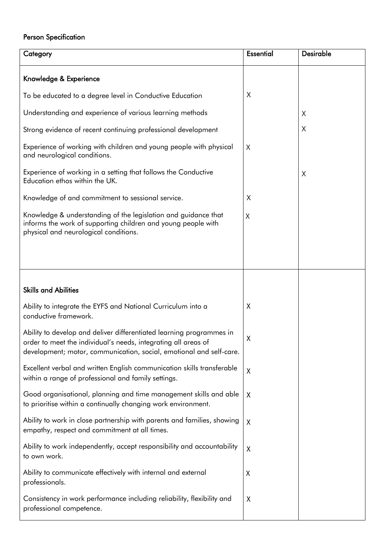# Person Specification

| Category                                                                                                                                                                                                      | <b>Essential</b> | <b>Desirable</b> |
|---------------------------------------------------------------------------------------------------------------------------------------------------------------------------------------------------------------|------------------|------------------|
| Knowledge & Experience                                                                                                                                                                                        |                  |                  |
| To be educated to a degree level in Conductive Education                                                                                                                                                      | X                |                  |
| Understanding and experience of various learning methods                                                                                                                                                      |                  | X                |
| Strong evidence of recent continuing professional development                                                                                                                                                 |                  | X                |
| Experience of working with children and young people with physical<br>and neurological conditions.                                                                                                            | X                |                  |
| Experience of working in a setting that follows the Conductive<br>Education ethos within the UK.                                                                                                              |                  | X                |
| Knowledge of and commitment to sessional service.                                                                                                                                                             | X                |                  |
| Knowledge & understanding of the legislation and guidance that<br>informs the work of supporting children and young people with<br>physical and neurological conditions.                                      | X                |                  |
|                                                                                                                                                                                                               |                  |                  |
|                                                                                                                                                                                                               |                  |                  |
| <b>Skills and Abilities</b>                                                                                                                                                                                   |                  |                  |
| Ability to integrate the EYFS and National Curriculum into a<br>conductive framework.                                                                                                                         | Χ                |                  |
| Ability to develop and deliver differentiated learning programmes in<br>order to meet the individual's needs, integrating all areas of<br>development; motor, communication, social, emotional and self-care. | Χ                |                  |
| Excellent verbal and written English communication skills transferable<br>within a range of professional and family settings.                                                                                 | X                |                  |
| Good organisational, planning and time management skills and able<br>to prioritise within a continually changing work environment.                                                                            | X                |                  |
| Ability to work in close partnership with parents and families, showing<br>empathy, respect and commitment at all times.                                                                                      | X                |                  |
| Ability to work independently, accept responsibility and accountability<br>to own work.                                                                                                                       | X                |                  |
| Ability to communicate effectively with internal and external<br>professionals.                                                                                                                               | χ                |                  |
| Consistency in work performance including reliability, flexibility and<br>professional competence.                                                                                                            | X                |                  |